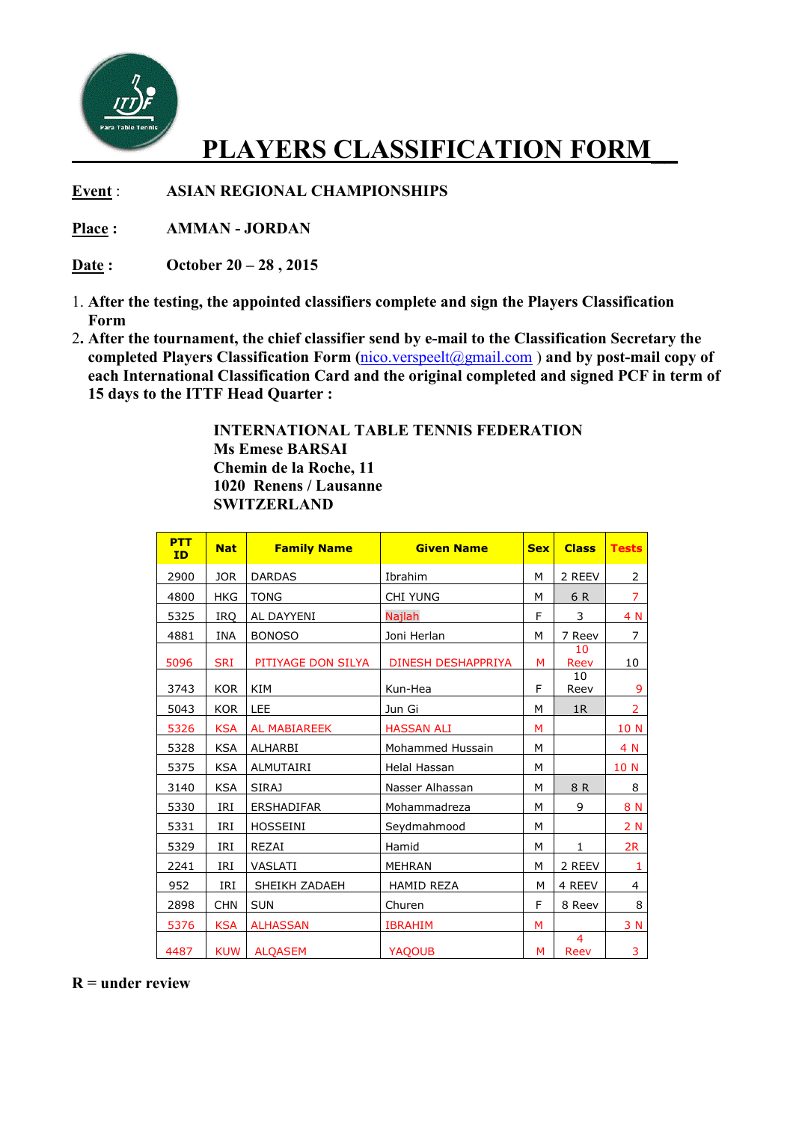

## **PLAYERS CLASSIFICATION FORM\_\_**

**Event** : **ASIAN REGIONAL CHAMPIONSHIPS**

**Place : AMMAN - JORDAN** 

**Date : October 20 – 28 , 2015** 

- 1. **After the testing, the appointed classifiers complete and sign the Players Classification Form**
- 2**. After the tournament, the chief classifier send by e-mail to the Classification Secretary the completed Players Classification Form (**nico.verspeelt@gmail.com ) **and by post-mail copy of each International Classification Card and the original completed and signed PCF in term of 15 days to the ITTF Head Quarter :**

 **INTERNATIONAL TABLE TENNIS FEDERATION Ms Emese BARSAI Chemin de la Roche, 11 1020 Renens / Lausanne SWITZERLAND** 

| <b>PTT</b><br>ID | <b>Nat</b> | <b>Family Name</b>  | <b>Given Name</b>         | <b>Sex</b> | <b>Class</b>           | <b>Tests</b>   |
|------------------|------------|---------------------|---------------------------|------------|------------------------|----------------|
| 2900             | <b>JOR</b> | <b>DARDAS</b>       | Ibrahim                   | М          | 2 REEV                 | 2              |
| 4800             | <b>HKG</b> | <b>TONG</b>         | <b>CHI YUNG</b>           | М          | 6 R                    | $\overline{7}$ |
| 5325             | <b>IRO</b> | AL DAYYENI          | Najlah                    | F          | 3                      | 4 N            |
| 4881             | INA        | <b>BONOSO</b>       | Joni Herlan               | M          | 7 Reev                 | 7              |
| 5096             | <b>SRI</b> | PITIYAGE DON SILYA  | <b>DINESH DESHAPPRIYA</b> | М          | 10<br>Reev             | 10             |
| 3743             | <b>KOR</b> | KIM                 | Kun-Hea                   | F          | 10<br>Reev             | 9              |
| 5043             | <b>KOR</b> | LEE                 | Jun Gi                    | M          | 1R                     | $\overline{2}$ |
| 5326             | <b>KSA</b> | <b>AL MABIAREEK</b> | <b>HASSAN ALI</b>         | м          |                        | 10 N           |
| 5328             | <b>KSA</b> | ALHARBI             | Mohammed Hussain          | М          |                        | 4 N            |
| 5375             | <b>KSA</b> | <b>ALMUTAIRI</b>    | Helal Hassan              | М          |                        | 10 N           |
| 3140             | <b>KSA</b> | <b>SIRAJ</b>        | Nasser Alhassan           | M          | 8 R                    | 8              |
| 5330             | IRI        | <b>ERSHADIFAR</b>   | Mohammadreza              | M          | 9                      | 8 N            |
| 5331             | IRI        | <b>HOSSEINI</b>     | Seydmahmood               | M          |                        | 2 N            |
| 5329             | IRI        | <b>REZAI</b>        | Hamid                     | M          | $\mathbf{1}$           | 2R             |
| 2241             | IRI        | VASLATI             | <b>MEHRAN</b>             | M          | 2 REEV                 | 1              |
| 952              | IRI        | SHEIKH ZADAEH       | <b>HAMID REZA</b>         | M          | 4 REEV                 | 4              |
| 2898             | <b>CHN</b> | <b>SUN</b>          | Churen                    | F          | 8 Reev                 | 8              |
| 5376             | <b>KSA</b> | <b>ALHASSAN</b>     | <b>IBRAHIM</b>            | м          |                        | 3 N            |
| 4487             | <b>KUW</b> | <b>ALQASEM</b>      | YAQOUB                    | M          | $\overline{4}$<br>Reev | 3              |